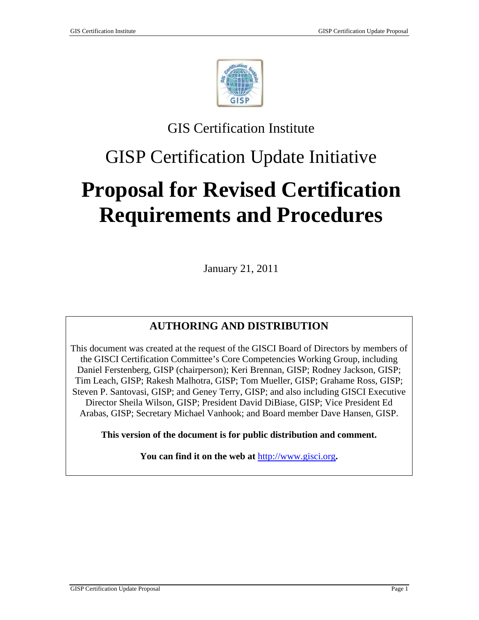

# GIS Certification Institute

# GISP Certification Update Initiative

# **Proposal for Revised Certification Requirements and Procedures**

January 21, 2011

# **AUTHORING AND DISTRIBUTION**

This document was created at the request of the GISCI Board of Directors by members of the GISCI Certification Committee's Core Competencies Working Group, including Daniel Ferstenberg, GISP (chairperson); Keri Brennan, GISP; Rodney Jackson, GISP; Tim Leach, GISP; Rakesh Malhotra, GISP; Tom Mueller, GISP; Grahame Ross, GISP; Steven P. Santovasi, GISP; and Geney Terry, GISP; and also including GISCI Executive Director Sheila Wilson, GISP; President David DiBiase, GISP; Vice President Ed Arabas, GISP; Secretary Michael Vanhook; and Board member Dave Hansen, GISP.

**This version of the document is for public distribution and comment.** 

**You can find it on the web at** [http://www.gisci.org](http://www.gisci.org/)**.**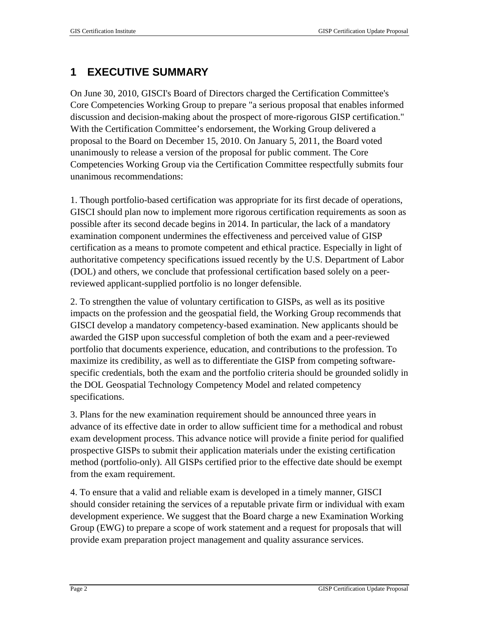# **1 EXECUTIVE SUMMARY**

On June 30, 2010, GISCI's Board of Directors charged the Certification Committee's Core Competencies Working Group to prepare "a serious proposal that enables informed discussion and decision-making about the prospect of more-rigorous GISP certification." With the Certification Committee's endorsement, the Working Group delivered a proposal to the Board on December 15, 2010. On January 5, 2011, the Board voted unanimously to release a version of the proposal for public comment. The Core Competencies Working Group via the Certification Committee respectfully submits four unanimous recommendations:

1. Though portfolio-based certification was appropriate for its first decade of operations, GISCI should plan now to implement more rigorous certification requirements as soon as possible after its second decade begins in 2014. In particular, the lack of a mandatory examination component undermines the effectiveness and perceived value of GISP certification as a means to promote competent and ethical practice. Especially in light of authoritative competency specifications issued recently by the U.S. Department of Labor (DOL) and others, we conclude that professional certification based solely on a peerreviewed applicant-supplied portfolio is no longer defensible.

2. To strengthen the value of voluntary certification to GISPs, as well as its positive impacts on the profession and the geospatial field, the Working Group recommends that GISCI develop a mandatory competency-based examination. New applicants should be awarded the GISP upon successful completion of both the exam and a peer-reviewed portfolio that documents experience, education, and contributions to the profession. To maximize its credibility, as well as to differentiate the GISP from competing softwarespecific credentials, both the exam and the portfolio criteria should be grounded solidly in the DOL Geospatial Technology Competency Model and related competency specifications.

3. Plans for the new examination requirement should be announced three years in advance of its effective date in order to allow sufficient time for a methodical and robust exam development process. This advance notice will provide a finite period for qualified prospective GISPs to submit their application materials under the existing certification method (portfolio-only). All GISPs certified prior to the effective date should be exempt from the exam requirement.

4. To ensure that a valid and reliable exam is developed in a timely manner, GISCI should consider retaining the services of a reputable private firm or individual with exam development experience. We suggest that the Board charge a new Examination Working Group (EWG) to prepare a scope of work statement and a request for proposals that will provide exam preparation project management and quality assurance services.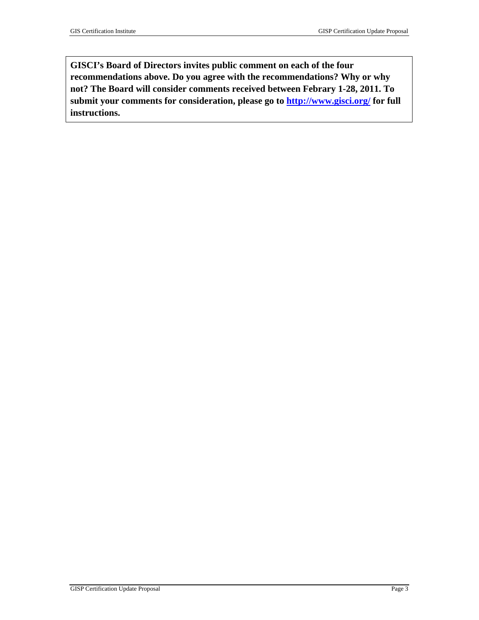**GISCI's Board of Directors invites public comment on each of the four recommendations above. Do you agree with the recommendations? Why or why not? The Board will consider comments received between Febrary 1-28, 2011. To submit your comments for consideration, please go to<http://www.gisci.org/>for full instructions.**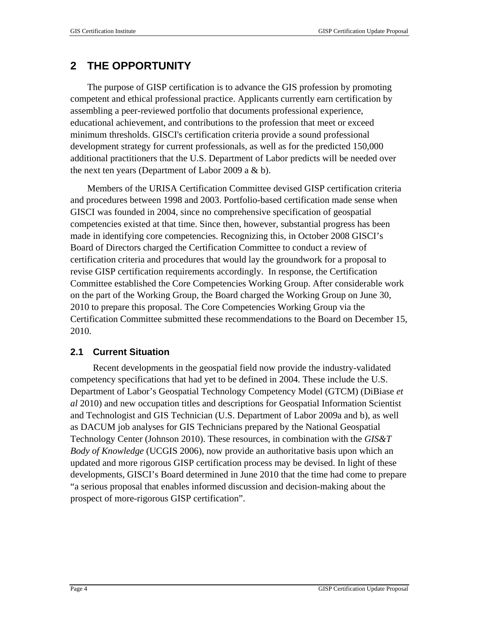# **2 THE OPPORTUNITY**

The purpose of GISP certification is to advance the GIS profession by promoting competent and ethical professional practice. Applicants currently earn certification by assembling a peer-reviewed portfolio that documents professional experience, educational achievement, and contributions to the profession that meet or exceed minimum thresholds. GISCI's certification criteria provide a sound professional development strategy for current professionals, as well as for the predicted 150,000 additional practitioners that the U.S. Department of Labor predicts will be needed over the next ten years (Department of Labor 2009 a  $& b$ ).

Members of the URISA Certification Committee devised GISP certification criteria and procedures between 1998 and 2003. Portfolio-based certification made sense when GISCI was founded in 2004, since no comprehensive specification of geospatial competencies existed at that time. Since then, however, substantial progress has been made in identifying core competencies. Recognizing this, in October 2008 GISCI's Board of Directors charged the Certification Committee to conduct a review of certification criteria and procedures that would lay the groundwork for a proposal to revise GISP certification requirements accordingly. In response, the Certification Committee established the Core Competencies Working Group. After considerable work on the part of the Working Group, the Board charged the Working Group on June 30, 2010 to prepare this proposal. The Core Competencies Working Group via the Certification Committee submitted these recommendations to the Board on December 15, 2010.

#### **2.1 Current Situation**

Recent developments in the geospatial field now provide the industry-validated competency specifications that had yet to be defined in 2004. These include the U.S. Department of Labor's Geospatial Technology Competency Model (GTCM) (DiBiase *et al* 2010) and new occupation titles and descriptions for Geospatial Information Scientist and Technologist and GIS Technician (U.S. Department of Labor 2009a and b), as well as DACUM job analyses for GIS Technicians prepared by the National Geospatial Technology Center (Johnson 2010). These resources, in combination with the *GIS&T Body of Knowledge* (UCGIS 2006), now provide an authoritative basis upon which an updated and more rigorous GISP certification process may be devised. In light of these developments, GISCI's Board determined in June 2010 that the time had come to prepare "a serious proposal that enables informed discussion and decision-making about the prospect of more-rigorous GISP certification".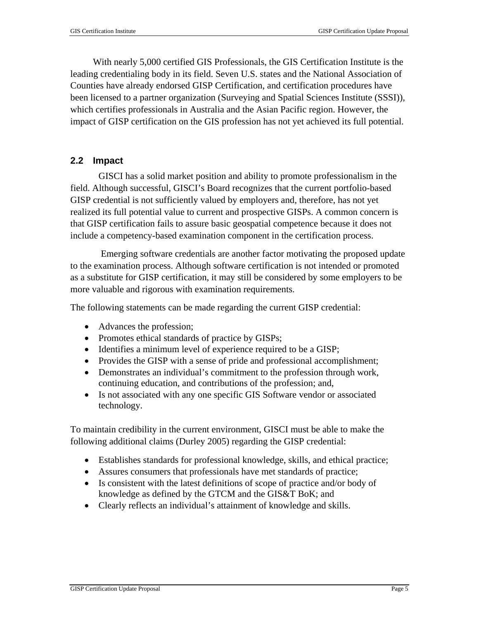With nearly 5,000 certified GIS Professionals, the GIS Certification Institute is the leading credentialing body in its field. Seven U.S. states and the National Association of Counties have already endorsed GISP Certification, and certification procedures have been licensed to a partner organization (Surveying and Spatial Sciences Institute (SSSI)), which certifies professionals in Australia and the Asian Pacific region. However, the impact of GISP certification on the GIS profession has not yet achieved its full potential.

#### **2.2 Impact**

GISCI has a solid market position and ability to promote professionalism in the field. Although successful, GISCI's Board recognizes that the current portfolio-based GISP credential is not sufficiently valued by employers and, therefore, has not yet realized its full potential value to current and prospective GISPs. A common concern is that GISP certification fails to assure basic geospatial competence because it does not include a competency-based examination component in the certification process.

 Emerging software credentials are another factor motivating the proposed update to the examination process. Although software certification is not intended or promoted as a substitute for GISP certification, it may still be considered by some employers to be more valuable and rigorous with examination requirements.

The following statements can be made regarding the current GISP credential:

- Advances the profession;
- Promotes ethical standards of practice by GISPs;
- Identifies a minimum level of experience required to be a GISP;
- Provides the GISP with a sense of pride and professional accomplishment;
- Demonstrates an individual's commitment to the profession through work, continuing education, and contributions of the profession; and,
- Is not associated with any one specific GIS Software vendor or associated technology.

To maintain credibility in the current environment, GISCI must be able to make the following additional claims (Durley 2005) regarding the GISP credential:

- Establishes standards for professional knowledge, skills, and ethical practice;
- Assures consumers that professionals have met standards of practice;
- Is consistent with the latest definitions of scope of practice and/or body of knowledge as defined by the GTCM and the GIS&T BoK; and
- Clearly reflects an individual's attainment of knowledge and skills.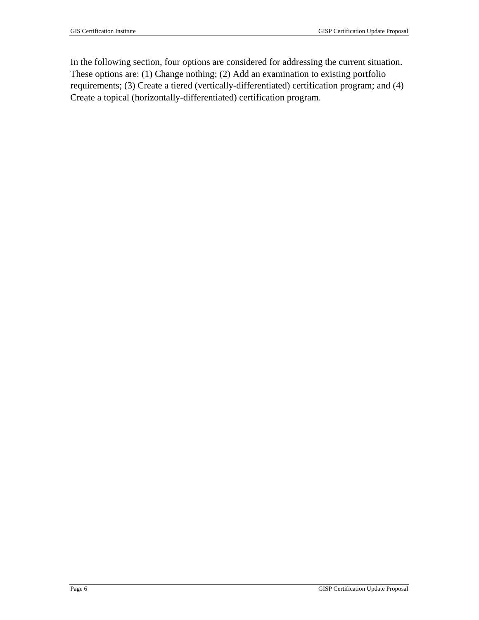In the following section, four options are considered for addressing the current situation. These options are: (1) Change nothing; (2) Add an examination to existing portfolio requirements; (3) Create a tiered (vertically-differentiated) certification program; and (4) Create a topical (horizontally-differentiated) certification program.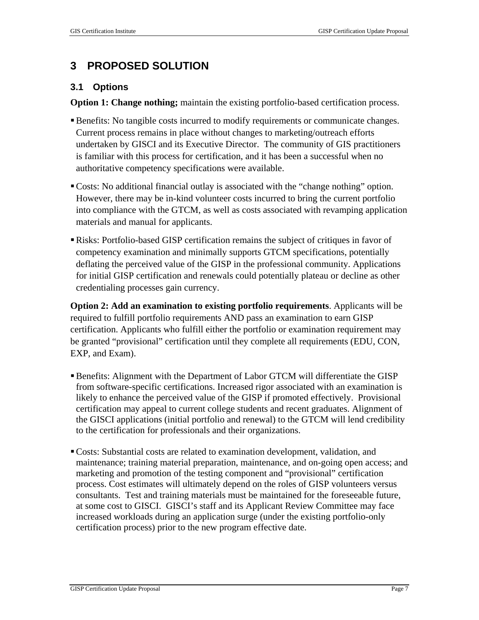### **3 PROPOSED SOLUTION**

#### **3.1 Options**

**Option 1: Change nothing;** maintain the existing portfolio-based certification process.

- Benefits: No tangible costs incurred to modify requirements or communicate changes. Current process remains in place without changes to marketing/outreach efforts undertaken by GISCI and its Executive Director. The community of GIS practitioners is familiar with this process for certification, and it has been a successful when no authoritative competency specifications were available.
- Costs: No additional financial outlay is associated with the "change nothing" option. However, there may be in-kind volunteer costs incurred to bring the current portfolio into compliance with the GTCM, as well as costs associated with revamping application materials and manual for applicants.
- Risks: Portfolio-based GISP certification remains the subject of critiques in favor of competency examination and minimally supports GTCM specifications, potentially deflating the perceived value of the GISP in the professional community. Applications for initial GISP certification and renewals could potentially plateau or decline as other credentialing processes gain currency.

**Option 2: Add an examination to existing portfolio requirements**. Applicants will be required to fulfill portfolio requirements AND pass an examination to earn GISP certification. Applicants who fulfill either the portfolio or examination requirement may be granted "provisional" certification until they complete all requirements (EDU, CON, EXP, and Exam).

- Benefits: Alignment with the Department of Labor GTCM will differentiate the GISP from software-specific certifications. Increased rigor associated with an examination is likely to enhance the perceived value of the GISP if promoted effectively. Provisional certification may appeal to current college students and recent graduates. Alignment of the GISCI applications (initial portfolio and renewal) to the GTCM will lend credibility to the certification for professionals and their organizations.
- Costs: Substantial costs are related to examination development, validation, and maintenance; training material preparation, maintenance, and on-going open access; and marketing and promotion of the testing component and "provisional" certification process. Cost estimates will ultimately depend on the roles of GISP volunteers versus consultants. Test and training materials must be maintained for the foreseeable future, at some cost to GISCI. GISCI's staff and its Applicant Review Committee may face increased workloads during an application surge (under the existing portfolio-only certification process) prior to the new program effective date.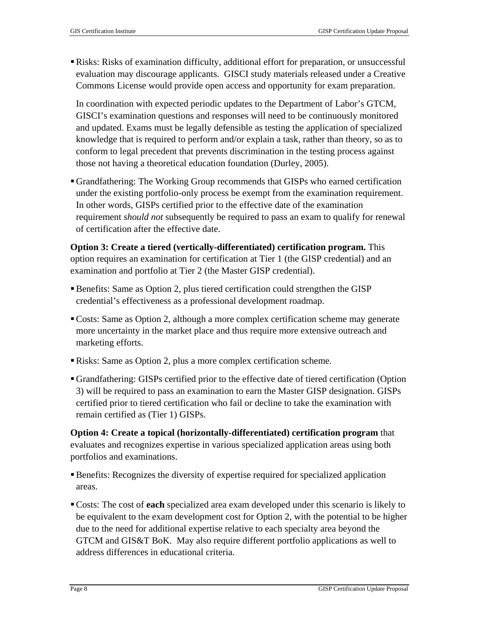Risks: Risks of examination difficulty, additional effort for preparation, or unsuccessful evaluation may discourage applicants. GISCI study materials released under a Creative Commons License would provide open access and opportunity for exam preparation.

In coordination with expected periodic updates to the Department of Labor's GTCM, GISCI's examination questions and responses will need to be continuously monitored and updated. Exams must be legally defensible as testing the application of specialized knowledge that is required to perform and/or explain a task, rather than theory, so as to conform to legal precedent that prevents discrimination in the testing process against those not having a theoretical education foundation (Durley, 2005).

Grandfathering: The Working Group recommends that GISPs who earned certification under the existing portfolio-only process be exempt from the examination requirement. In other words, GISPs certified prior to the effective date of the examination requirement *should not* subsequently be required to pass an exam to qualify for renewal of certification after the effective date.

**Option 3: Create a tiered (vertically-differentiated) certification program.** This option requires an examination for certification at Tier 1 (the GISP credential) and an examination and portfolio at Tier 2 (the Master GISP credential).

- Benefits: Same as Option 2, plus tiered certification could strengthen the GISP credential's effectiveness as a professional development roadmap.
- Costs: Same as Option 2, although a more complex certification scheme may generate more uncertainty in the market place and thus require more extensive outreach and marketing efforts.
- Risks: Same as Option 2, plus a more complex certification scheme.
- Grandfathering: GISPs certified prior to the effective date of tiered certification (Option 3) will be required to pass an examination to earn the Master GISP designation. GISPs certified prior to tiered certification who fail or decline to take the examination with remain certified as (Tier 1) GISPs.

**Option 4: Create a topical (horizontally-differentiated) certification program** that evaluates and recognizes expertise in various specialized application areas using both portfolios and examinations.

- Benefits: Recognizes the diversity of expertise required for specialized application areas.
- Costs: The cost of **each** specialized area exam developed under this scenario is likely to be equivalent to the exam development cost for Option 2, with the potential to be higher due to the need for additional expertise relative to each specialty area beyond the GTCM and GIS&T BoK. May also require different portfolio applications as well to address differences in educational criteria.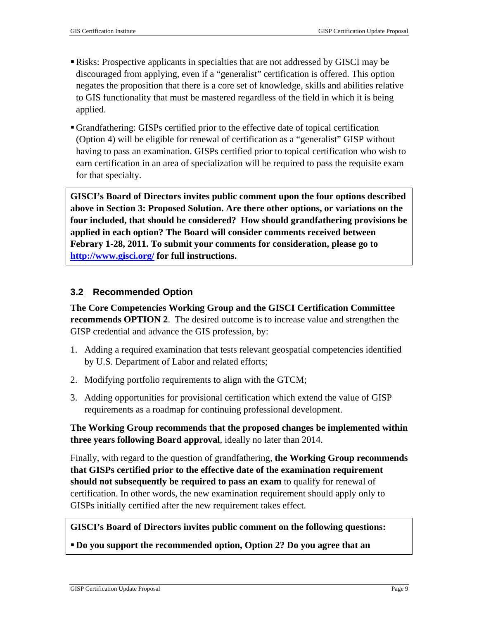- Risks: Prospective applicants in specialties that are not addressed by GISCI may be discouraged from applying, even if a "generalist" certification is offered. This option negates the proposition that there is a core set of knowledge, skills and abilities relative to GIS functionality that must be mastered regardless of the field in which it is being applied.
- Grandfathering: GISPs certified prior to the effective date of topical certification (Option 4) will be eligible for renewal of certification as a "generalist" GISP without having to pass an examination. GISPs certified prior to topical certification who wish to earn certification in an area of specialization will be required to pass the requisite exam for that specialty.

**GISCI's Board of Directors invites public comment upon the four options described above in Section 3: Proposed Solution. Are there other options, or variations on the four included, that should be considered? How should grandfathering provisions be applied in each option? The Board will consider comments received between Febrary 1-28, 2011. To submit your comments for consideration, please go to <http://www.gisci.org/> for full instructions.** 

#### **3.2 Recommended Option**

**The Core Competencies Working Group and the GISCI Certification Committee recommends OPTION 2.** The desired outcome is to increase value and strengthen the GISP credential and advance the GIS profession, by:

- 1. Adding a required examination that tests relevant geospatial competencies identified by U.S. Department of Labor and related efforts;
- 2. Modifying portfolio requirements to align with the GTCM;
- 3. Adding opportunities for provisional certification which extend the value of GISP requirements as a roadmap for continuing professional development.

**The Working Group recommends that the proposed changes be implemented within three years following Board approval**, ideally no later than 2014.

Finally, with regard to the question of grandfathering, **the Working Group recommends that GISPs certified prior to the effective date of the examination requirement should not subsequently be required to pass an exam** to qualify for renewal of certification. In other words, the new examination requirement should apply only to GISPs initially certified after the new requirement takes effect.

#### **GISCI's Board of Directors invites public comment on the following questions:**

**Do you support the recommended option, Option 2? Do you agree that an**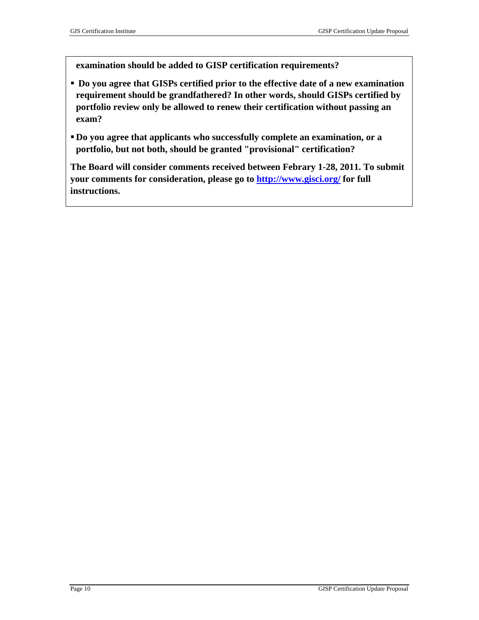**examination should be added to GISP certification requirements?** 

- **Do you agree that GISPs certified prior to the effective date of a new examination requirement should be grandfathered? In other words, should GISPs certified by portfolio review only be allowed to renew their certification without passing an exam?**
- **Do you agree that applicants who successfully complete an examination, or a portfolio, but not both, should be granted "provisional" certification?**

**The Board will consider comments received between Febrary 1-28, 2011. To submit your comments for consideration, please go to<http://www.gisci.org/> for full instructions.**